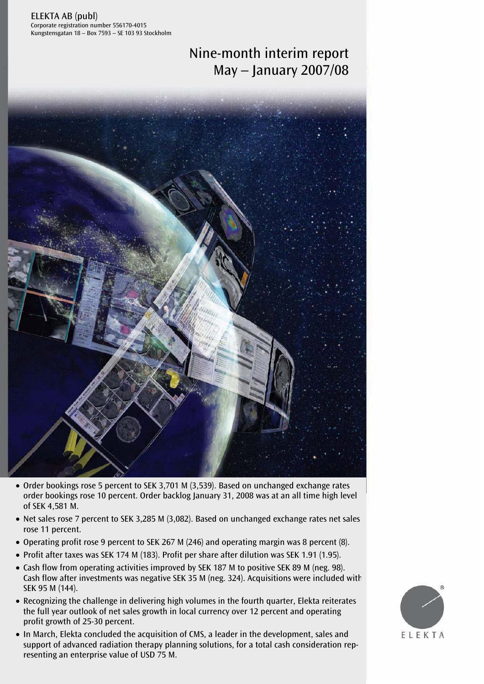ELEKTA AB (publ) Corporate registration number 556170-4015 Kungstensgatan 18 – Box 7593 – SE 103 93 Stockholm

# Nine-month interim report May – January 2007/08



- Order bookings rose 5 percent to SEK 3,701 M (3,539). Based on unchanged exchange rates order bookings rose 10 percent. Order backlog January 31, 2008 was at an all time high level of SEK 4,581 M.
- Net sales rose 7 percent to SEK 3,285 M (3,082). Based on unchanged exchange rates net sales rose 11 percent.
- Operating profit rose 9 percent to SEK 267 M (246) and operating margin was 8 percent (8).
- Profit after taxes was SEK 174 M (183). Profit per share after dilution was SEK 1.91 (1.95).
- Cash flow from operating activities improved by SEK 187 M to positive SEK 89 M (neg. 98). Cash flow after investments was negative SEK 35 M (neg. 324). Acquisitions were included with SEK 95 M (144).
- Recognizing the challenge in delivering high volumes in the fourth quarter, Elekta reiterates the full year outlook of net sales growth in local currency over 12 percent and operating profit growth of 25-30 percent.
- support of advanced radiation therapy planning solutions, for a total cash consideration rep<br>resenting an enterprise value of USD 75 M. • In March, Elekta concluded the acquisition of CMS, a leader in the development, sales and support of advanced radiation therapy planning solutions, for a total cash consideration rep-

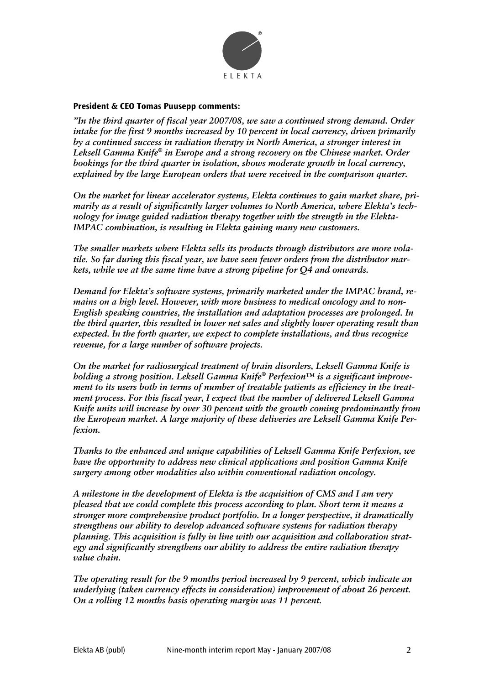

#### **President & CEO Tomas Puusepp comments:**

*"In the third quarter of fiscal year 2007/08, we saw a continued strong demand. Order intake for the first 9 months increased by 10 percent in local currency, driven primarily by a continued success in radiation therapy in North America, a stronger interest in Leksell Gamma Knife® in Europe and a strong recovery on the Chinese market. Order bookings for the third quarter in isolation, shows moderate growth in local currency, explained by the large European orders that were received in the comparison quarter.* 

*On the market for linear accelerator systems, Elekta continues to gain market share, primarily as a result of significantly larger volumes to North America, where Elekta's technology for image guided radiation therapy together with the strength in the Elekta-IMPAC combination, is resulting in Elekta gaining many new customers.* 

*The smaller markets where Elekta sells its products through distributors are more volatile. So far during this fiscal year, we have seen fewer orders from the distributor markets, while we at the same time have a strong pipeline for Q4 and onwards.* 

*Demand for Elekta's software systems, primarily marketed under the IMPAC brand, remains on a high level. However, with more business to medical oncology and to non-English speaking countries, the installation and adaptation processes are prolonged. In the third quarter, this resulted in lower net sales and slightly lower operating result than expected. In the forth quarter, we expect to complete installations, and thus recognize revenue, for a large number of software projects.* 

*On the market for radiosurgical treatment of brain disorders, Leksell Gamma Knife is holding a strong position. Leksell Gamma Knife® Perfexion™ is a significant improvement to its users both in terms of number of treatable patients as efficiency in the treatment process. For this fiscal year, I expect that the number of delivered Leksell Gamma Knife units will increase by over 30 percent with the growth coming predominantly from the European market. A large majority of these deliveries are Leksell Gamma Knife Perfexion.* 

*Thanks to the enhanced and unique capabilities of Leksell Gamma Knife Perfexion, we have the opportunity to address new clinical applications and position Gamma Knife surgery among other modalities also within conventional radiation oncology.* 

*A milestone in the development of Elekta is the acquisition of CMS and I am very pleased that we could complete this process according to plan. Short term it means a stronger more comprehensive product portfolio. In a longer perspective, it dramatically strengthens our ability to develop advanced software systems for radiation therapy planning. This acquisition is fully in line with our acquisition and collaboration strategy and significantly strengthens our ability to address the entire radiation therapy value chain.* 

*The operating result for the 9 months period increased by 9 percent, which indicate an underlying (taken currency effects in consideration) improvement of about 26 percent. On a rolling 12 months basis operating margin was 11 percent.*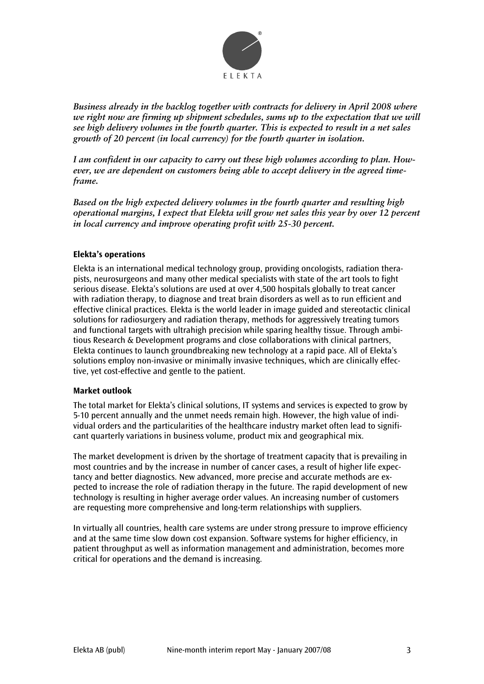

*Business already in the backlog together with contracts for delivery in April 2008 where we right now are firming up shipment schedules, sums up to the expectation that we will see high delivery volumes in the fourth quarter. This is expected to result in a net sales growth of 20 percent (in local currency) for the fourth quarter in isolation.* 

*I am confident in our capacity to carry out these high volumes according to plan. However, we are dependent on customers being able to accept delivery in the agreed timeframe.* 

*Based on the high expected delivery volumes in the fourth quarter and resulting high operational margins, I expect that Elekta will grow net sales this year by over 12 percent in local currency and improve operating profit with 25-30 percent.* 

#### **Elekta's operations**

Elekta is an international medical technology group, providing oncologists, radiation therapists, neurosurgeons and many other medical specialists with state of the art tools to fight serious disease. Elekta's solutions are used at over 4,500 hospitals globally to treat cancer with radiation therapy, to diagnose and treat brain disorders as well as to run efficient and effective clinical practices. Elekta is the world leader in image guided and stereotactic clinical solutions for radiosurgery and radiation therapy, methods for aggressively treating tumors and functional targets with ultrahigh precision while sparing healthy tissue. Through ambitious Research & Development programs and close collaborations with clinical partners, Elekta continues to launch groundbreaking new technology at a rapid pace. All of Elekta's solutions employ non-invasive or minimally invasive techniques, which are clinically effective, yet cost-effective and gentle to the patient.

#### **Market outlook**

The total market for Elekta's clinical solutions, IT systems and services is expected to grow by 5-10 percent annually and the unmet needs remain high. However, the high value of individual orders and the particularities of the healthcare industry market often lead to significant quarterly variations in business volume, product mix and geographical mix.

The market development is driven by the shortage of treatment capacity that is prevailing in most countries and by the increase in number of cancer cases, a result of higher life expectancy and better diagnostics. New advanced, more precise and accurate methods are expected to increase the role of radiation therapy in the future. The rapid development of new technology is resulting in higher average order values. An increasing number of customers are requesting more comprehensive and long-term relationships with suppliers.

In virtually all countries, health care systems are under strong pressure to improve efficiency and at the same time slow down cost expansion. Software systems for higher efficiency, in patient throughput as well as information management and administration, becomes more critical for operations and the demand is increasing.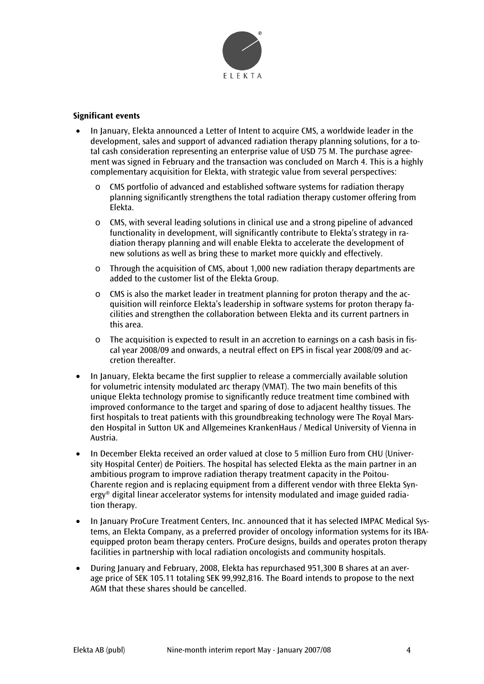

#### **Significant events**

- In January, Elekta announced a Letter of Intent to acquire CMS, a worldwide leader in the development, sales and support of advanced radiation therapy planning solutions, for a total cash consideration representing an enterprise value of USD 75 M. The purchase agreement was signed in February and the transaction was concluded on March 4. This is a highly complementary acquisition for Elekta, with strategic value from several perspectives:
	- o CMS portfolio of advanced and established software systems for radiation therapy planning significantly strengthens the total radiation therapy customer offering from Elekta.
	- $\circ$  CMS, with several leading solutions in clinical use and a strong pipeline of advanced functionality in development, will significantly contribute to Elekta's strategy in radiation therapy planning and will enable Elekta to accelerate the development of new solutions as well as bring these to market more quickly and effectively.
	- $\circ$  Through the acquisition of CMS, about 1,000 new radiation therapy departments are added to the customer list of the Elekta Group.
	- $\circ$  CMS is also the market leader in treatment planning for proton therapy and the acquisition will reinforce Elekta's leadership in software systems for proton therapy facilities and strengthen the collaboration between Elekta and its current partners in this area.
	- $\circ$  The acquisition is expected to result in an accretion to earnings on a cash basis in fiscal year 2008/09 and onwards, a neutral effect on EPS in fiscal year 2008/09 and accretion thereafter.
- In January, Elekta became the first supplier to release a commercially available solution for volumetric intensity modulated arc therapy (VMAT). The two main benefits of this unique Elekta technology promise to significantly reduce treatment time combined with improved conformance to the target and sparing of dose to adjacent healthy tissues. The first hospitals to treat patients with this groundbreaking technology were The Royal Marsden Hospital in Sutton UK and Allgemeines KrankenHaus / Medical University of Vienna in Austria.
- In December Elekta received an order valued at close to 5 million Euro from CHU (University Hospital Center) de Poitiers. The hospital has selected Elekta as the main partner in an ambitious program to improve radiation therapy treatment capacity in the Poitou-Charente region and is replacing equipment from a different vendor with three Elekta Synergy® digital linear accelerator systems for intensity modulated and image guided radiation therapy.
- In January ProCure Treatment Centers, Inc. announced that it has selected IMPAC Medical Systems, an Elekta Company, as a preferred provider of oncology information systems for its IBAequipped proton beam therapy centers. ProCure designs, builds and operates proton therapy facilities in partnership with local radiation oncologists and community hospitals.
- During January and February, 2008, Elekta has repurchased 951,300 B shares at an average price of SEK 105.11 totaling SEK 99,992,816. The Board intends to propose to the next AGM that these shares should be cancelled.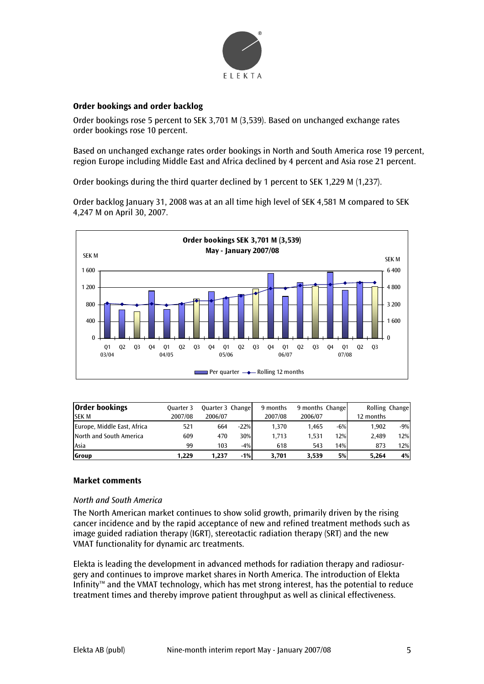

#### **Order bookings and order backlog**

Order bookings rose 5 percent to SEK 3,701 M (3,539). Based on unchanged exchange rates order bookings rose 10 percent.

Based on unchanged exchange rates order bookings in North and South America rose 19 percent, region Europe including Middle East and Africa declined by 4 percent and Asia rose 21 percent.

Order bookings during the third quarter declined by 1 percent to SEK 1,229 M (1,237).

Order backlog January 31, 2008 was at an all time high level of SEK 4,581 M compared to SEK 4,247 M on April 30, 2007.



| <b>Order bookings</b>       | Ouarter 3 | Quarter 3 Change |        | 9 months | 9 months Change |       |           | Rolling Change |
|-----------------------------|-----------|------------------|--------|----------|-----------------|-------|-----------|----------------|
| <b>SEK M</b>                | 2007/08   | 2006/07          |        | 2007/08  | 2006/07         |       | 12 months |                |
| Europe, Middle East, Africa | 521       | 664              | $-22%$ | 1.370    | 1.465           | $-6%$ | 1.902     | $-9%$          |
| North and South America     | 609       | 470              | 30%    | 1.713    | 1.531           | 12%   | 2.489     | 12%            |
| Asia                        | 99        | 103              | $-4%$  | 618      | 543             | 14%   | 873       | 12%            |
| <b>Group</b>                | 1.229     | 1.237            | $-1%$  | 3.701    | 3.539           | 5%    | 5.264     | 4%             |

#### **Market comments**

#### *North and South America*

The North American market continues to show solid growth, primarily driven by the rising cancer incidence and by the rapid acceptance of new and refined treatment methods such as image guided radiation therapy (IGRT), stereotactic radiation therapy (SRT) and the new VMAT functionality for dynamic arc treatments.

Elekta is leading the development in advanced methods for radiation therapy and radiosurgery and continues to improve market shares in North America. The introduction of Elekta Infinity™ and the VMAT technology, which has met strong interest, has the potential to reduce treatment times and thereby improve patient throughput as well as clinical effectiveness.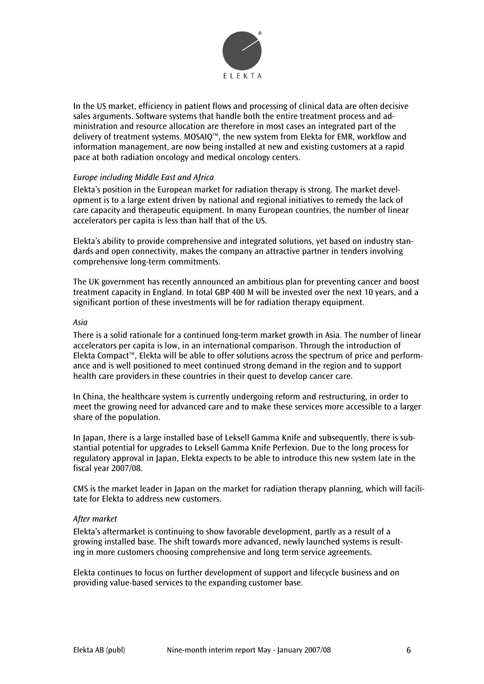

In the US market, efficiency in patient flows and processing of clinical data are often decisive sales arguments. Software systems that handle both the entire treatment process and administration and resource allocation are therefore in most cases an integrated part of the delivery of treatment systems. MOSAIQ™, the new system from Elekta for EMR, workflow and information management, are now being installed at new and existing customers at a rapid pace at both radiation oncology and medical oncology centers.

#### *Europe including Middle East and Africa*

Elekta's position in the European market for radiation therapy is strong. The market development is to a large extent driven by national and regional initiatives to remedy the lack of care capacity and therapeutic equipment. In many European countries, the number of linear accelerators per capita is less than half that of the US.

Elekta's ability to provide comprehensive and integrated solutions, yet based on industry standards and open connectivity, makes the company an attractive partner in tenders involving comprehensive long-term commitments.

The UK government has recently announced an ambitious plan for preventing cancer and boost treatment capacity in England. In total GBP 400 M will be invested over the next 10 years, and a significant portion of these investments will be for radiation therapy equipment.

#### *Asia*

There is a solid rationale for a continued long-term market growth in Asia. The number of linear accelerators per capita is low, in an international comparison. Through the introduction of Elekta Compact™, Elekta will be able to offer solutions across the spectrum of price and performance and is well positioned to meet continued strong demand in the region and to support health care providers in these countries in their quest to develop cancer care.

In China, the healthcare system is currently undergoing reform and restructuring, in order to meet the growing need for advanced care and to make these services more accessible to a larger share of the population.

In Japan, there is a large installed base of Leksell Gamma Knife and subsequently, there is substantial potential for upgrades to Leksell Gamma Knife Perfexion. Due to the long process for regulatory approval in Japan, Elekta expects to be able to introduce this new system late in the fiscal year 2007/08.

CMS is the market leader in Japan on the market for radiation therapy planning, which will facilitate for Elekta to address new customers.

#### *After market*

Elekta's aftermarket is continuing to show favorable development, partly as a result of a growing installed base. The shift towards more advanced, newly launched systems is resulting in more customers choosing comprehensive and long term service agreements.

Elekta continues to focus on further development of support and lifecycle business and on providing value-based services to the expanding customer base.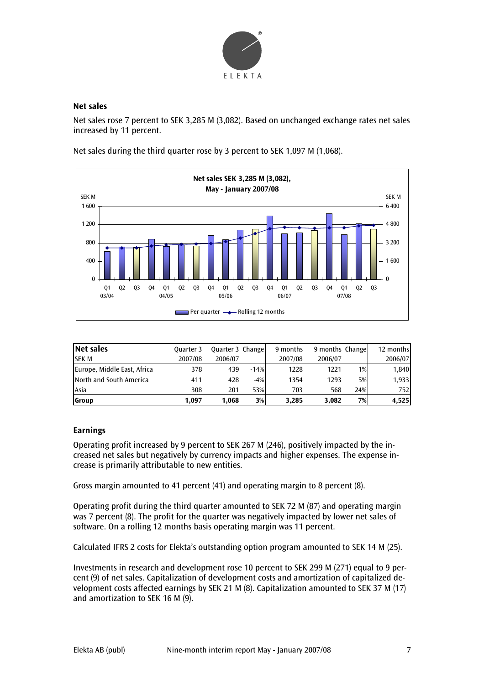

#### **Net sales**

Net sales rose 7 percent to SEK 3,285 M (3,082). Based on unchanged exchange rates net sales increased by 11 percent.

Net sales during the third quarter rose by 3 percent to SEK 1,097 M (1,068).



| Net sales                   | Ouarter 3 | Quarter 3 Change |        | 9 months | 9 months Change |     | 12 months |
|-----------------------------|-----------|------------------|--------|----------|-----------------|-----|-----------|
| <b>SEK M</b>                | 2007/08   | 2006/07          |        | 2007/08  | 2006/07         |     | 2006/07   |
| Europe, Middle East, Africa | 378       | 439              | $-14%$ | 1228     | 1221            | 1%  | 1,840     |
| North and South America     | 411       | 428              | $-4%$  | 1354     | 1293            | 5%  | 1,933     |
| <b>LAsia</b>                | 308       | 201              | 53%    | 703      | 568             | 24% | 752       |
| Group                       | 1.097     | 1.068            | 3%     | 3,285    | 3.082           | 7%  | 4,525     |

#### **Earnings**

Operating profit increased by 9 percent to SEK 267 M (246), positively impacted by the increased net sales but negatively by currency impacts and higher expenses. The expense increase is primarily attributable to new entities.

Gross margin amounted to 41 percent (41) and operating margin to 8 percent (8).

Operating profit during the third quarter amounted to SEK 72 M (87) and operating margin was 7 percent (8). The profit for the quarter was negatively impacted by lower net sales of software. On a rolling 12 months basis operating margin was 11 percent.

Calculated IFRS 2 costs for Elekta's outstanding option program amounted to SEK 14 M (25).

Investments in research and development rose 10 percent to SEK 299 M (271) equal to 9 percent (9) of net sales. Capitalization of development costs and amortization of capitalized development costs affected earnings by SEK 21 M (8). Capitalization amounted to SEK 37 M (17) and amortization to SEK 16 M (9).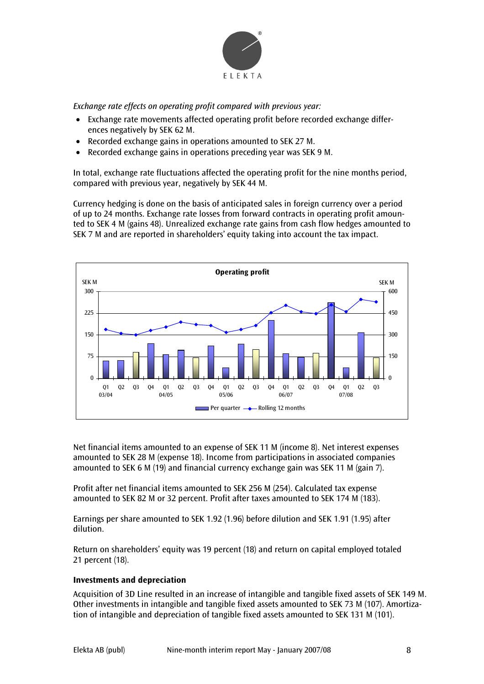

*Exchange rate effects on operating profit compared with previous year:* 

- Exchange rate movements affected operating profit before recorded exchange differences negatively by SEK 62 M.
- Recorded exchange gains in operations amounted to SEK 27 M.
- Recorded exchange gains in operations preceding year was SEK 9 M.

In total, exchange rate fluctuations affected the operating profit for the nine months period, compared with previous year, negatively by SEK 44 M.

Currency hedging is done on the basis of anticipated sales in foreign currency over a period of up to 24 months. Exchange rate losses from forward contracts in operating profit amounted to SEK 4 M (gains 48). Unrealized exchange rate gains from cash flow hedges amounted to SEK 7 M and are reported in shareholders' equity taking into account the tax impact.



Net financial items amounted to an expense of SEK 11 M (income 8). Net interest expenses amounted to SEK 28 M (expense 18). Income from participations in associated companies amounted to SEK 6 M (19) and financial currency exchange gain was SEK 11 M (gain 7).

Profit after net financial items amounted to SEK 256 M (254). Calculated tax expense amounted to SEK 82 M or 32 percent. Profit after taxes amounted to SEK 174 M (183).

Earnings per share amounted to SEK 1.92 (1.96) before dilution and SEK 1.91 (1.95) after dilution.

Return on shareholders' equity was 19 percent (18) and return on capital employed totaled 21 percent (18).

#### **Investments and depreciation**

Acquisition of 3D Line resulted in an increase of intangible and tangible fixed assets of SEK 149 M. Other investments in intangible and tangible fixed assets amounted to SEK 73 M (107). Amortization of intangible and depreciation of tangible fixed assets amounted to SEK 131 M (101).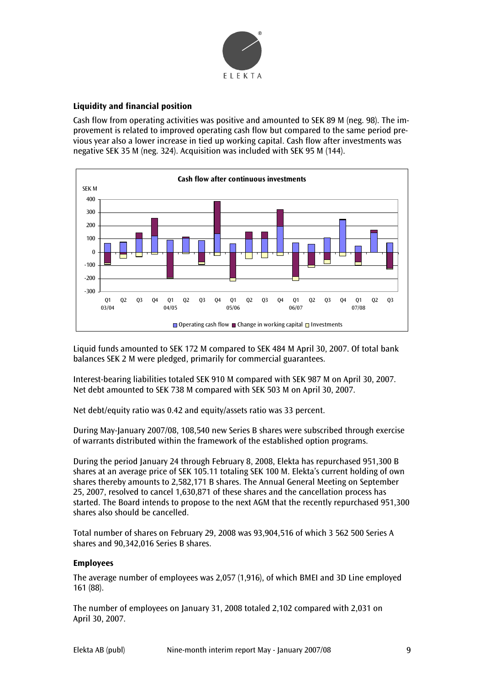

#### **Liquidity and financial position**

Cash flow from operating activities was positive and amounted to SEK 89 M (neg. 98). The improvement is related to improved operating cash flow but compared to the same period previous year also a lower increase in tied up working capital. Cash flow after investments was negative SEK 35 M (neg. 324). Acquisition was included with SEK 95 M (144).



Liquid funds amounted to SEK 172 M compared to SEK 484 M April 30, 2007. Of total bank balances SEK 2 M were pledged, primarily for commercial guarantees.

Interest-bearing liabilities totaled SEK 910 M compared with SEK 987 M on April 30, 2007. Net debt amounted to SEK 738 M compared with SEK 503 M on April 30, 2007.

Net debt/equity ratio was 0.42 and equity/assets ratio was 33 percent.

During May-January 2007/08, 108,540 new Series B shares were subscribed through exercise of warrants distributed within the framework of the established option programs.

During the period January 24 through February 8, 2008, Elekta has repurchased 951,300 B shares at an average price of SEK 105.11 totaling SEK 100 M. Elekta's current holding of own shares thereby amounts to 2,582,171 B shares. The Annual General Meeting on September 25, 2007, resolved to cancel 1,630,871 of these shares and the cancellation process has started. The Board intends to propose to the next AGM that the recently repurchased 951,300 shares also should be cancelled.

Total number of shares on February 29, 2008 was 93,904,516 of which 3 562 500 Series A shares and 90,342,016 Series B shares.

#### **Employees**

The average number of employees was 2,057 (1,916), of which BMEI and 3D Line employed 161 (88).

The number of employees on January 31, 2008 totaled 2,102 compared with 2,031 on April 30, 2007.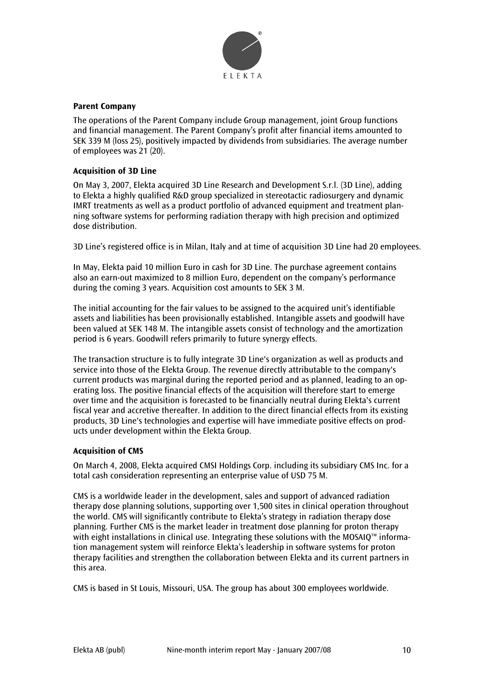

#### **Parent Company**

The operations of the Parent Company include Group management, joint Group functions and financial management. The Parent Company's profit after financial items amounted to SEK 339 M (loss 25), positively impacted by dividends from subsidiaries. The average number of employees was 21 (20).

#### **Acquisition of 3D Line**

On May 3, 2007, Elekta acquired 3D Line Research and Development S.r.l. (3D Line), adding to Elekta a highly qualified R&D group specialized in stereotactic radiosurgery and dynamic IMRT treatments as well as a product portfolio of advanced equipment and treatment planning software systems for performing radiation therapy with high precision and optimized dose distribution.

3D Line's registered office is in Milan, Italy and at time of acquisition 3D Line had 20 employees.

In May, Elekta paid 10 million Euro in cash for 3D Line. The purchase agreement contains also an earn-out maximized to 8 million Euro, dependent on the company's performance during the coming 3 years. Acquisition cost amounts to SEK 3 M.

The initial accounting for the fair values to be assigned to the acquired unit's identifiable assets and liabilities has been provisionally established. Intangible assets and goodwill have been valued at SEK 148 M. The intangible assets consist of technology and the amortization period is 6 years. Goodwill refers primarily to future synergy effects.

The transaction structure is to fully integrate 3D Line's organization as well as products and service into those of the Elekta Group. The revenue directly attributable to the company's current products was marginal during the reported period and as planned, leading to an operating loss. The positive financial effects of the acquisition will therefore start to emerge over time and the acquisition is forecasted to be financially neutral during Elekta's current fiscal year and accretive thereafter. In addition to the direct financial effects from its existing products, 3D Line's technologies and expertise will have immediate positive effects on products under development within the Elekta Group.

#### **Acquisition of CMS**

On March 4, 2008, Elekta acquired CMSI Holdings Corp. including its subsidiary CMS Inc. for a total cash consideration representing an enterprise value of USD 75 M.

CMS is a worldwide leader in the development, sales and support of advanced radiation therapy dose planning solutions, supporting over 1,500 sites in clinical operation throughout the world. CMS will significantly contribute to Elekta's strategy in radiation therapy dose planning. Further CMS is the market leader in treatment dose planning for proton therapy with eight installations in clinical use. Integrating these solutions with the MOSAIQ™ information management system will reinforce Elekta's leadership in software systems for proton therapy facilities and strengthen the collaboration between Elekta and its current partners in this area.

CMS is based in St Louis, Missouri, USA. The group has about 300 employees worldwide.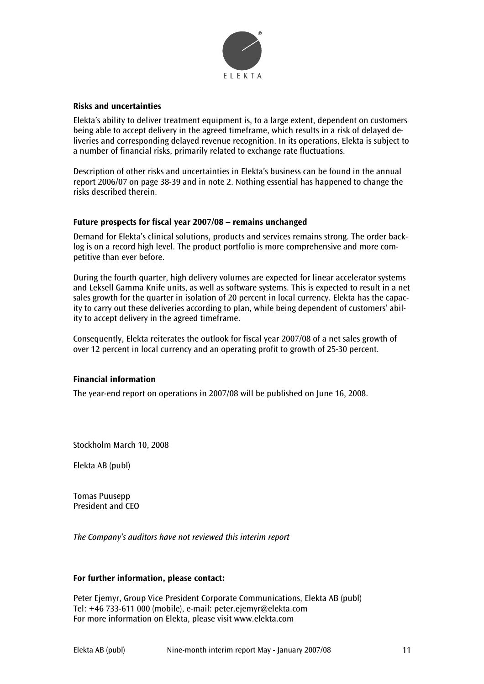

#### **Risks and uncertainties**

Elekta's ability to deliver treatment equipment is, to a large extent, dependent on customers being able to accept delivery in the agreed timeframe, which results in a risk of delayed deliveries and corresponding delayed revenue recognition. In its operations, Elekta is subject to a number of financial risks, primarily related to exchange rate fluctuations.

Description of other risks and uncertainties in Elekta's business can be found in the annual report 2006/07 on page 38-39 and in note 2. Nothing essential has happened to change the risks described therein.

#### **Future prospects for fiscal year 2007/08 – remains unchanged**

Demand for Elekta's clinical solutions, products and services remains strong. The order backlog is on a record high level. The product portfolio is more comprehensive and more competitive than ever before.

During the fourth quarter, high delivery volumes are expected for linear accelerator systems and Leksell Gamma Knife units, as well as software systems. This is expected to result in a net sales growth for the quarter in isolation of 20 percent in local currency. Elekta has the capacity to carry out these deliveries according to plan, while being dependent of customers' ability to accept delivery in the agreed timeframe.

Consequently, Elekta reiterates the outlook for fiscal year 2007/08 of a net sales growth of over 12 percent in local currency and an operating profit to growth of 25-30 percent.

#### **Financial information**

The year-end report on operations in 2007/08 will be published on June 16, 2008.

Stockholm March 10, 2008

Elekta AB (publ)

Tomas Puusepp President and CEO

*The Company's auditors have not reviewed this interim report* 

#### **For further information, please contact:**

Peter Ejemyr, Group Vice President Corporate Communications, Elekta AB (publ) Tel: +46 733-611 000 (mobile), e-mail: peter.ejemyr@elekta.com For more information on Elekta, please visit www.elekta.com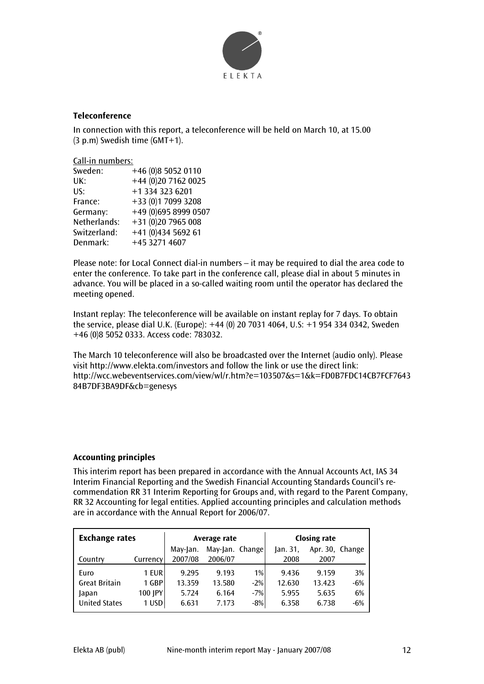

#### **Teleconference**

In connection with this report, a teleconference will be held on March 10, at 15.00 (3 p.m) Swedish time (GMT+1).

Call-in numbers:

| Sweden:      | +46 (0)8 5052 0110   |
|--------------|----------------------|
| UK:          | +44 (0)20 7162 0025  |
| US:          | +1 334 323 6201      |
| France:      | +33 (0)1 7099 3208   |
| Germany:     | +49 (0)695 8999 0507 |
| Netherlands: | +31 (0)20 7965 008   |
| Switzerland: | +41 (0)434 5692 61   |
| Denmark:     | +45 3271 4607        |

Please note: for Local Connect dial-in numbers – it may be required to dial the area code to enter the conference. To take part in the conference call, please dial in about 5 minutes in advance. You will be placed in a so-called waiting room until the operator has declared the meeting opened.

Instant replay: The teleconference will be available on instant replay for 7 days. To obtain the service, please dial U.K. (Europe): +44 (0) 20 7031 4064, U.S: +1 954 334 0342, Sweden +46 (0)8 5052 0333. Access code: 783032.

The March 10 teleconference will also be broadcasted over the Internet (audio only). Please visit http://www.elekta.com/investors and follow the link or use the direct link: http://wcc.webeventservices.com/view/wl/r.htm?e=103507&s=1&k=FD0B7FDC14CB7FCF7643 84B7DF3BA9DF&cb=genesys

#### **Accounting principles**

This interim report has been prepared in accordance with the Annual Accounts Act, IAS 34 Interim Financial Reporting and the Swedish Financial Accounting Standards Council's recommendation RR 31 Interim Reporting for Groups and, with regard to the Parent Company, RR 32 Accounting for legal entities. Applied accounting principles and calculation methods are in accordance with the Annual Report for 2006/07.

| <b>Exchange rates</b> |          | Average rate |                 |       | <b>Closing rate</b> |                 |       |
|-----------------------|----------|--------------|-----------------|-------|---------------------|-----------------|-------|
|                       |          | May-Jan.     | May-Jan. Change |       | Jan. 31,            | Apr. 30, Change |       |
| Country               | Currency | 2007/08      | 2006/07         |       | 2008                | 2007            |       |
| Euro                  | 1 EUR    | 9.295        | 9.193           | 1%    | 9.436               | 9.159           | 3%    |
| <b>Great Britain</b>  | 1 GBP    | 13.359       | 13.580          | $-2%$ | 12.630              | 13.423          | $-6%$ |
| Japan                 | 100 JPY  | 5.724        | 6.164           | $-7%$ | 5.955               | 5.635           | 6%    |
| <b>United States</b>  | 1 USD    | 6.631        | 7.173           | $-8%$ | 6.358               | 6.738           | $-6%$ |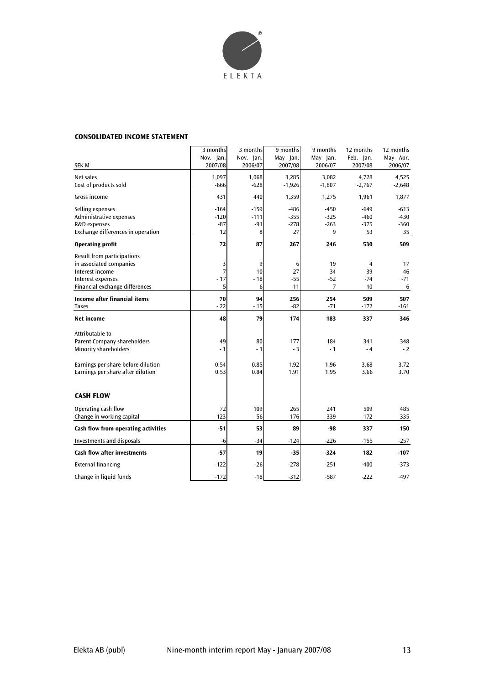

#### **CONSOLIDATED INCOME STATEMENT**

|                                                   | 3 months<br>Nov. - Jan. | 3 months<br>Nov. - Jan. | 9 months<br>May - Jan. | 9 months<br>May - Jan. | 12 months<br>Feb. - Ian. | 12 months<br>May - Apr. |
|---------------------------------------------------|-------------------------|-------------------------|------------------------|------------------------|--------------------------|-------------------------|
| <b>SEK M</b>                                      | 2007/08                 | 2006/07                 | 2007/08                | 2006/07                | 2007/08                  | 2006/07                 |
| Net sales<br>Cost of products sold                | 1,097<br>$-666$         | 1,068<br>$-628$         | 3,285<br>$-1,926$      | 3,082<br>$-1,807$      | 4,728<br>$-2,767$        | 4,525<br>$-2,648$       |
| Gross income                                      | 431                     | 440                     | 1,359                  | 1,275                  | 1,961                    | 1,877                   |
| Selling expenses                                  | $-164$                  | $-159$                  | $-486$                 | -450                   | $-649$                   | $-613$                  |
| Administrative expenses                           | $-120$                  | $-111$                  | $-355$                 | $-325$                 | $-460$                   | $-430$                  |
| R&D expenses<br>Exchange differences in operation | $-87$<br>12             | $-91$<br>8              | $-278$<br>27           | $-263$<br>9            | $-375$<br>53             | $-360$<br>35            |
| <b>Operating profit</b>                           | 72                      | 87                      | 267                    | 246                    | 530                      | 509                     |
| Result from participations                        |                         |                         |                        |                        |                          |                         |
| in associated companies                           | 3                       | 9                       | 6                      | 19                     | $\overline{4}$           | 17                      |
| Interest income                                   | 7                       | 10                      | 27                     | 34                     | 39                       | 46                      |
| Interest expenses                                 | $-17$                   | $-18$                   | $-55$                  | $-52$                  | $-74$                    | $-71$                   |
| Financial exchange differences                    | 5                       | 6                       | 11                     | $\overline{7}$         | 10                       | 6                       |
| Income after financial items                      | 70                      | 94                      | 256                    | 254                    | 509                      | 507                     |
| <b>Taxes</b>                                      | $-22$                   | $-15$                   | $-82$                  | $-71$                  | $-172$                   | -161                    |
| <b>Net income</b>                                 | 48                      | 79                      | 174                    | 183                    | 337                      | 346                     |
| Attributable to                                   |                         |                         |                        |                        |                          |                         |
| Parent Company shareholders                       | 49                      | 80                      | 177                    | 184                    | 341                      | 348                     |
| <b>Minority shareholders</b>                      | $-1$                    | $-1$                    | $-3$                   | $-1$                   | $-4$                     | $-2$                    |
| Earnings per share before dilution                | 0.54                    | 0.85                    | 1.92                   | 1.96                   | 3.68                     | 3.72                    |
| Earnings per share after dilution                 | 0.53                    | 0.84                    | 1.91                   | 1.95                   | 3.66                     | 3.70                    |
| <b>CASH FLOW</b>                                  |                         |                         |                        |                        |                          |                         |
| Operating cash flow                               | 72                      | 109                     | 265                    | 241                    | 509                      | 485                     |
| Change in working capital                         | $-123$                  | $-56$                   | $-176$                 | $-339$                 | $-172$                   | $-335$                  |
| Cash flow from operating activities               | $-51$                   | 53                      | 89                     | -98                    | 337                      | 150                     |
| Investments and disposals                         | -6                      | $-34$                   | $-124$                 | $-226$                 | $-155$                   | $-257$                  |
| <b>Cash flow after investments</b>                | $-57$                   | 19                      | $-35$                  | $-324$                 | 182                      | $-107$                  |
| <b>External financing</b>                         | $-122$                  | $-26$                   | $-278$                 | $-251$                 | $-400$                   | $-373$                  |
| Change in liquid funds                            | $-172$                  | $-18$                   | $-312$                 | $-587$                 | $-222$                   | $-497$                  |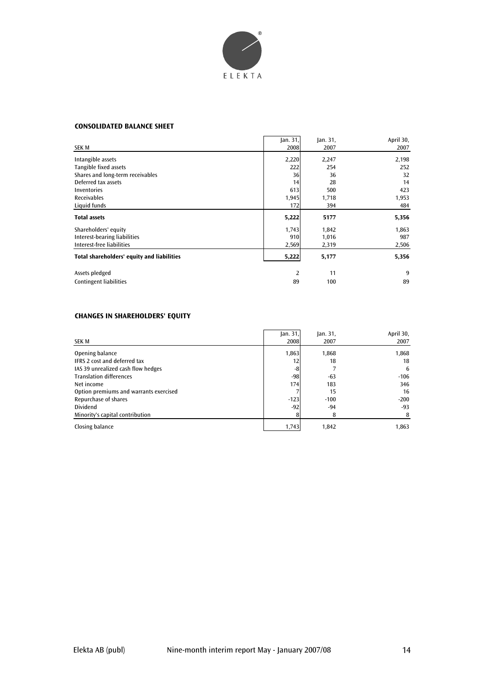

#### **CONSOLIDATED BALANCE SHEET**

|                                            | Jan. 31,       | Jan. 31, | April 30, |
|--------------------------------------------|----------------|----------|-----------|
| <b>SEK M</b>                               | 2008           | 2007     | 2007      |
| Intangible assets                          | 2,220          | 2,247    | 2,198     |
| Tangible fixed assets                      | 222            | 254      | 252       |
| Shares and long-term receivables           | 36             | 36       | 32        |
| Deferred tax assets                        | 14             | 28       | 14        |
| Inventories                                | 613            | 500      | 423       |
| <b>Receivables</b>                         | 1,945          | 1,718    | 1,953     |
| Liquid funds                               | 172            | 394      | 484       |
| <b>Total assets</b>                        | 5,222          | 5177     | 5,356     |
| Shareholders' equity                       | 1,743          | 1,842    | 1,863     |
| Interest-bearing liabilities               | 910            | 1,016    | 987       |
| Interest-free liabilities                  | 2,569          | 2,319    | 2,506     |
| Total shareholders' equity and liabilities | 5,222          | 5,177    | 5,356     |
| Assets pledged                             | $\overline{2}$ | 11       | 9         |
| <b>Contingent liabilities</b>              | 89             | 100      | 89        |

#### **CHANGES IN SHAREHOLDERS' EQUITY**

| SEK M                                  | an.31 <br>2008 | an.31 <br>2007 | April 30,<br>2007 |
|----------------------------------------|----------------|----------------|-------------------|
| Opening balance                        | 1,863          | 1,868          | 1,868             |
| <b>IFRS 2 cost and deferred tax</b>    | 12             | 18             | 18                |
| IAS 39 unrealized cash flow hedges     | -8             |                | 6                 |
| <b>Translation differences</b>         | $-98$          | $-63$          | $-106$            |
| Net income                             | 174            | 183            | 346               |
| Option premiums and warrants exercised |                | 15             | 16                |
| Repurchase of shares                   | $-123$         | $-100$         | $-200$            |
| <b>Dividend</b>                        | $-92$          | $-94$          | $-93$             |
| Minority's capital contribution        |                | 8              | 8                 |
| Closing balance                        | 1,743          | 1.842          | 1,863             |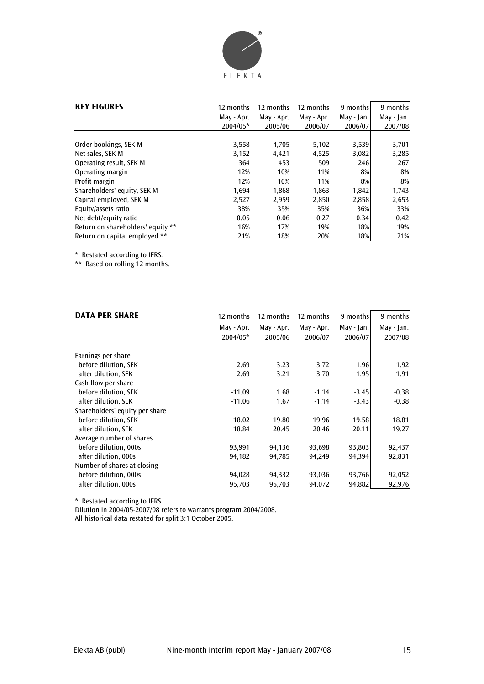

| <b>KEY FIGURES</b>                | 12 months<br>May - Apr.<br>2004/05* | 12 months<br>May - Apr.<br>2005/06 | 12 months<br>May - Apr.<br>2006/07 | 9 months<br>May - Jan.<br>2006/07 | 9 months<br>$May - Jan.$<br>2007/08 |
|-----------------------------------|-------------------------------------|------------------------------------|------------------------------------|-----------------------------------|-------------------------------------|
|                                   |                                     |                                    |                                    |                                   |                                     |
| Order bookings, SEK M             | 3,558                               | 4.705                              | 5,102                              | 3,539                             | 3,701                               |
| Net sales, SEK M                  | 3.152                               | 4.421                              | 4,525                              | 3,082                             | 3,285                               |
| Operating result, SEK M           | 364                                 | 453                                | 509                                | 246                               | 267                                 |
| Operating margin                  | 12%                                 | 10%                                | 11%                                | $8\%$                             | 8%                                  |
| Profit margin                     | 12%                                 | 10%                                | 11%                                | 8%                                | 8%                                  |
| Shareholders' equity, SEK M       | 1,694                               | 1.868                              | 1,863                              | 1.842                             | 1,743                               |
| Capital employed, SEK M           | 2,527                               | 2,959                              | 2,850                              | 2,858                             | 2,653                               |
| Equity/assets ratio               | 38%                                 | 35%                                | 35%                                | 36%                               | 33%                                 |
| Net debt/equity ratio             | 0.05                                | 0.06                               | 0.27                               | 0.34                              | 0.42                                |
| Return on shareholders' equity ** | 16%                                 | 17%                                | 19%                                | 18%                               | 19%                                 |
| Return on capital employed **     | 21%                                 | 18%                                | 20%                                | 18%                               | 21%                                 |

\* Restated according to IFRS.

\*\* Based on rolling 12 months.

| <b>DATA PER SHARE</b>          | 12 months  | 12 months  | 12 months  | 9 months   | 9 months   |
|--------------------------------|------------|------------|------------|------------|------------|
|                                | May - Apr. | May - Apr. | May - Apr. | May - Jan. | May - Jan. |
|                                | 2004/05*   | 2005/06    | 2006/07    | 2006/07    | 2007/08    |
|                                |            |            |            |            |            |
| Earnings per share             |            |            |            |            |            |
| before dilution, SEK           | 2.69       | 3.23       | 3.72       | 1.96       | 1.92       |
| after dilution, SEK            | 2.69       | 3.21       | 3.70       | 1.95       | 1.91       |
| Cash flow per share            |            |            |            |            |            |
| before dilution, SEK           | $-11.09$   | 1.68       | $-1.14$    | $-3.45$    | $-0.38$    |
| after dilution, SEK            | $-11.06$   | 1.67       | $-1.14$    | $-3.43$    | $-0.38$    |
| Shareholders' equity per share |            |            |            |            |            |
| before dilution, SEK           | 18.02      | 19.80      | 19.96      | 19.58      | 18.81      |
| after dilution, SEK            | 18.84      | 20.45      | 20.46      | 20.11      | 19.27      |
| Average number of shares       |            |            |            |            |            |
| before dilution, 000s          | 93,991     | 94,136     | 93,698     | 93,803     | 92,437     |
| after dilution, 000s           | 94,182     | 94,785     | 94,249     | 94,394     | 92,831     |
| Number of shares at closing    |            |            |            |            |            |
| before dilution, 000s          | 94,028     | 94,332     | 93,036     | 93,766     | 92,052     |
| after dilution, 000s           | 95,703     | 95,703     | 94,072     | 94,882     | 92,976     |

\* Restated according to IFRS.

Dilution in 2004/05-2007/08 refers to warrants program 2004/2008.

All historical data restated for split 3:1 October 2005.